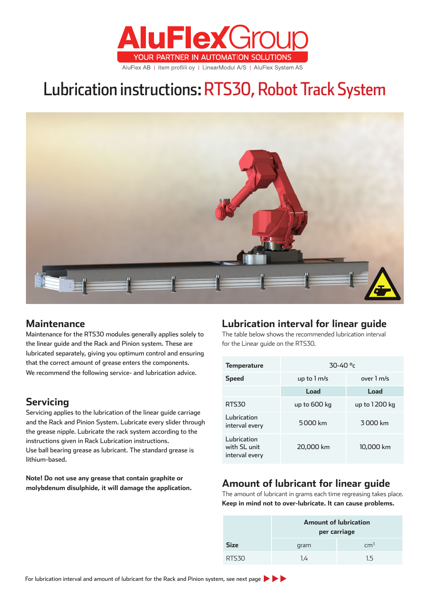

# Lubrication instructions: RTS30, Robot Track System



## **Maintenance**

Maintenance for the RTS30 modules generally applies solely to the linear guide and the Rack and Pinion system. These are lubricated separately, giving you optimum control and ensuring that the correct amount of grease enters the components. We recommend the following service- and lubrication advice.

# **Servicing**

Servicing applies to the lubrication of the linear guide carriage and the Rack and Pinion System. Lubricate every slider through the grease nipple. Lubricate the rack system according to the instructions given in Rack Lubrication instructions. Use ball bearing grease as lubricant. The standard grease is lithium-based.

**Note! Do not use any grease that contain graphite or molybdenum disulphide, it will damage the application.**

# **Lubrication interval for linear guide**

The table below shows the recommended lubrication interval for the Linear guide on the RTS30.

| <b>Temperature</b>                            | $30 - 40$ <sup>o</sup> c |               |  |  |
|-----------------------------------------------|--------------------------|---------------|--|--|
| <b>Speed</b>                                  | up to $1 \text{ m/s}$    | over 1 m/s    |  |  |
|                                               | Load                     | Load          |  |  |
| <b>RTS30</b>                                  | up to 600 kg             | up to 1200 kg |  |  |
| Lubrication<br>interval every                 | 5000 km                  | 3000 km       |  |  |
| Lubrication<br>with SL unit<br>interval every | 20,000 km                | 10,000 km     |  |  |

# **Amount of lubricant for linear guide**

The amount of lubricant in grams each time regreasing takes place. **Keep in mind not to over-lubricate. It can cause problems.**

|             | <b>Amount of lubrication</b><br>per carriage |                 |  |  |
|-------------|----------------------------------------------|-----------------|--|--|
| <b>Size</b> | gram                                         | cm <sup>3</sup> |  |  |
| RTS30       | 1.4                                          | 15              |  |  |